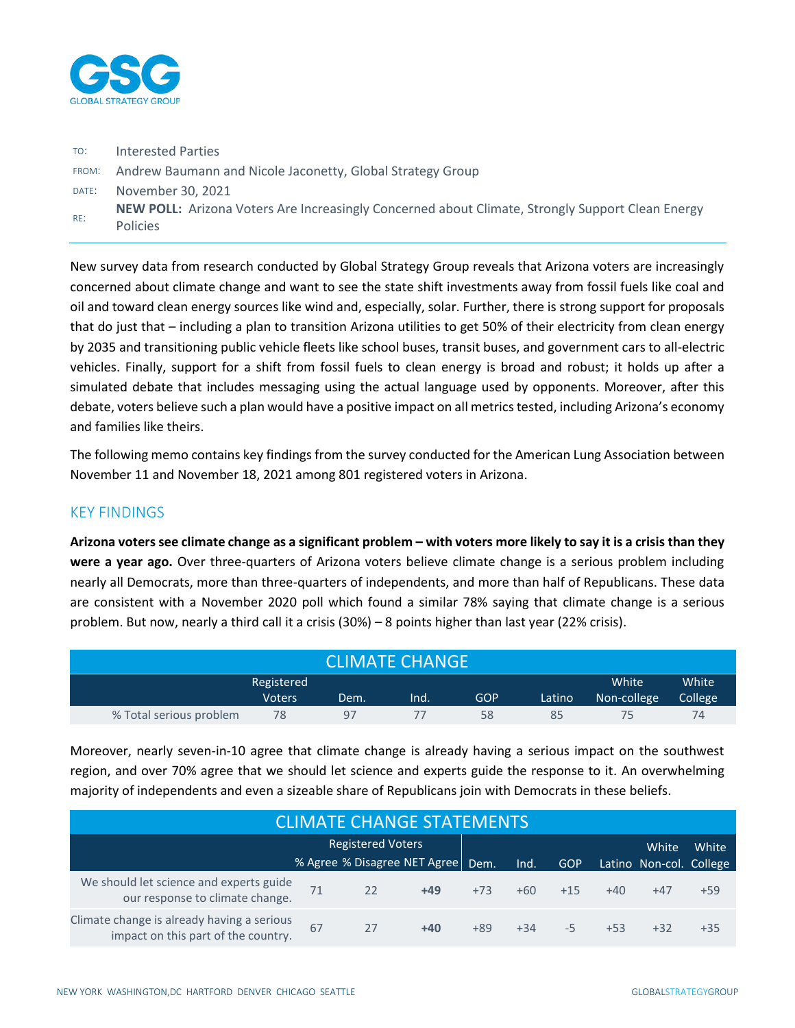

| TO:   | <b>Interested Parties</b>                                                                                                  |
|-------|----------------------------------------------------------------------------------------------------------------------------|
|       | FROM: Andrew Baumann and Nicole Jaconetty, Global Strategy Group                                                           |
| DATE: | November 30, 2021                                                                                                          |
| RE:   | <b>NEW POLL:</b> Arizona Voters Are Increasingly Concerned about Climate, Strongly Support Clean Energy<br><b>Policies</b> |

New survey data from research conducted by Global Strategy Group reveals that Arizona voters are increasingly concerned about climate change and want to see the state shift investments away from fossil fuels like coal and oil and toward clean energy sources like wind and, especially, solar. Further, there is strong support for proposals that do just that – including a plan to transition Arizona utilities to get 50% of their electricity from clean energy by 2035 and transitioning public vehicle fleets like school buses, transit buses, and government cars to all-electric vehicles. Finally, support for a shift from fossil fuels to clean energy is broad and robust; it holds up after a simulated debate that includes messaging using the actual language used by opponents. Moreover, after this debate, voters believe such a plan would have a positive impact on all metrics tested, including Arizona's economy and families like theirs.

The following memo contains key findings from the survey conducted for the American Lung Association between November 11 and November 18, 2021 among 801 registered voters in Arizona.

### KEY FINDINGS

**Arizona voters see climate change as a significant problem – with voters more likely to say it is a crisis than they were a year ago.** Over three-quarters of Arizona voters believe climate change is a serious problem including nearly all Democrats, more than three-quarters of independents, and more than half of Republicans. These data are consistent with a November 2020 poll which found a similar 78% saying that climate change is a serious problem. But now, nearly a third call it a crisis (30%) – 8 points higher than last year (22% crisis).

| ICLIMATE CHANGE'        |               |      |      |     |        |             |                      |  |  |  |  |  |
|-------------------------|---------------|------|------|-----|--------|-------------|----------------------|--|--|--|--|--|
|                         | Registered    |      |      |     |        |             |                      |  |  |  |  |  |
|                         | <b>Voters</b> | Dem. | lnd. | GOP | Latino | Non-college | College <sup>1</sup> |  |  |  |  |  |
| % Total serious problem | 78            | 97   |      | 58  | 85     |             | 74                   |  |  |  |  |  |

Moreover, nearly seven-in-10 agree that climate change is already having a serious impact on the southwest region, and over 70% agree that we should let science and experts guide the response to it. An overwhelming majority of independents and even a sizeable share of Republicans join with Democrats in these beliefs.

| <b>CLIMATE CHANGE STATEMENTS</b>                                                  |    |    |                              |       |       |            |       |                         |       |  |  |  |  |
|-----------------------------------------------------------------------------------|----|----|------------------------------|-------|-------|------------|-------|-------------------------|-------|--|--|--|--|
|                                                                                   |    |    |                              |       | White | White      |       |                         |       |  |  |  |  |
|                                                                                   |    |    | % Agree % Disagree NET Agree | Dem.  | Ind.  | <b>GOP</b> |       | Latino Non-col. College |       |  |  |  |  |
| We should let science and experts guide<br>our response to climate change.        |    | 22 | $+49$                        | $+73$ | $+60$ | $+15$      | $+40$ | $+47$                   | $+59$ |  |  |  |  |
| Climate change is already having a serious<br>impact on this part of the country. | 67 | 27 | $+40$                        | $+89$ | $+34$ | $-5$       | $+53$ | $+32$                   | $+35$ |  |  |  |  |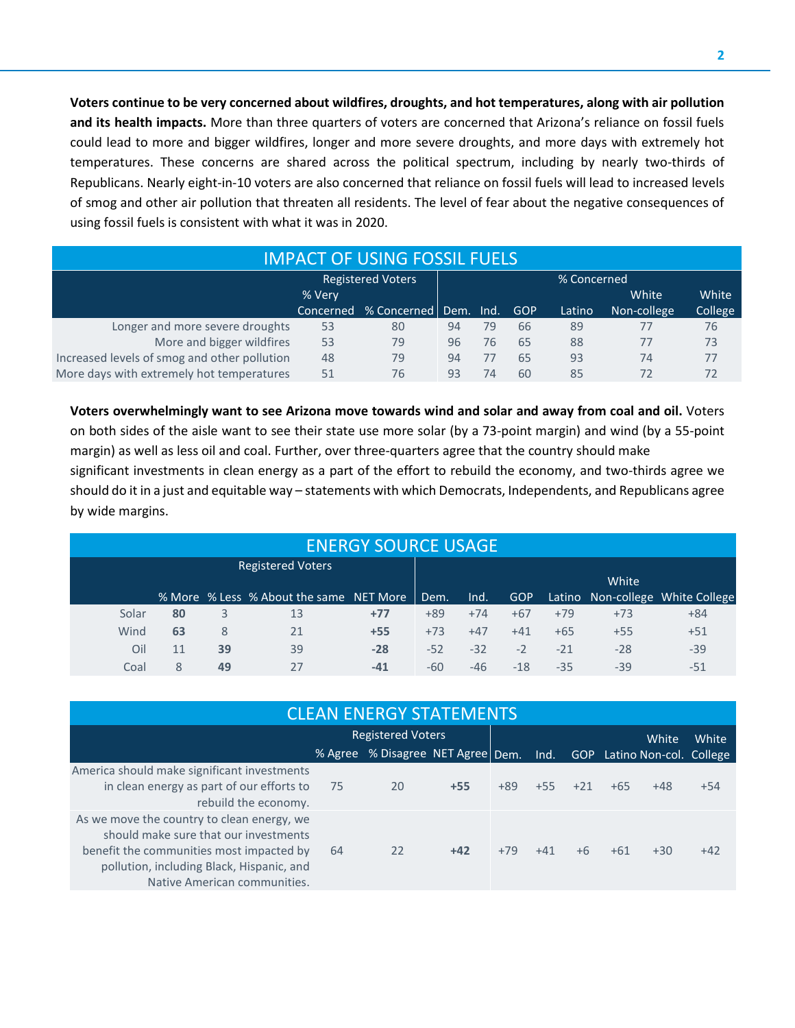**Voters continue to be very concerned about wildfires, droughts, and hot temperatures, along with air pollution and its health impacts.** More than three quarters of voters are concerned that Arizona's reliance on fossil fuels could lead to more and bigger wildfires, longer and more severe droughts, and more days with extremely hot temperatures. These concerns are shared across the political spectrum, including by nearly two-thirds of Republicans. Nearly eight-in-10 voters are also concerned that reliance on fossil fuels will lead to increased levels of smog and other air pollution that threaten all residents. The level of fear about the negative consequences of using fossil fuels is consistent with what it was in 2020.

|                                              | <b>IMPACT OF USING FOSSIL FUELS</b> |                         |    |    |            |        |             |         |  |  |  |  |  |  |  |
|----------------------------------------------|-------------------------------------|-------------------------|----|----|------------|--------|-------------|---------|--|--|--|--|--|--|--|
|                                              | % Concerned                         |                         |    |    |            |        |             |         |  |  |  |  |  |  |  |
|                                              | % Very                              |                         |    |    |            |        | White       | White   |  |  |  |  |  |  |  |
|                                              | Concerned                           | % Concerned   Dem. Ind. |    |    | <b>GOP</b> | Latino | Non-college | College |  |  |  |  |  |  |  |
| Longer and more severe droughts              | 53                                  | 80                      | 94 | 79 | 66         | 89     | 77          | 76      |  |  |  |  |  |  |  |
| More and bigger wildfires                    | 53                                  | 79                      | 96 | 76 | 65         | 88     | 77          | 73      |  |  |  |  |  |  |  |
| Increased levels of smog and other pollution | 48                                  | 79                      | 94 | 77 | 65         | 93     | 74          | 77      |  |  |  |  |  |  |  |
| More days with extremely hot temperatures    | 51                                  | 76                      | 93 | 74 | 60         | 85     | 72          | 72      |  |  |  |  |  |  |  |

**Voters overwhelmingly want to see Arizona move towards wind and solar and away from coal and oil.** Voters on both sides of the aisle want to see their state use more solar (by a 73-point margin) and wind (by a 55-point margin) as well as less oil and coal. Further, over three-quarters agree that the country should make significant investments in clean energy as a part of the effort to rebuild the economy, and two-thirds agree we should do it in a just and equitable way – statements with which Democrats, Independents, and Republicans agree by wide margins.

|       | <b>ENERGY SOURCE USAGE</b> |    |                                         |       |       |       |            |       |       |                                  |  |  |  |  |  |
|-------|----------------------------|----|-----------------------------------------|-------|-------|-------|------------|-------|-------|----------------------------------|--|--|--|--|--|
|       |                            |    | <b>Registered Voters</b>                |       |       |       |            |       |       |                                  |  |  |  |  |  |
|       |                            |    |                                         |       |       |       |            |       | White |                                  |  |  |  |  |  |
|       |                            |    | % More % Less % About the same NET More |       | Dem.  | Ind.  | <b>GOP</b> |       |       | Latino Non-college White College |  |  |  |  |  |
| Solar | 80                         | 3  | 13                                      | $+77$ | $+89$ | $+74$ | $+67$      | $+79$ | $+73$ | $+84$                            |  |  |  |  |  |
| Wind  | 63                         | 8  | 21                                      | $+55$ | $+73$ | $+47$ | $+41$      | $+65$ | $+55$ | $+51$                            |  |  |  |  |  |
| Oil   | 11                         | 39 | 39                                      | $-28$ | $-52$ | $-32$ | $-2$       | $-21$ | $-28$ | $-39$                            |  |  |  |  |  |
| Coal  | 8                          | 49 | 27                                      | $-41$ | -60   | -46   | $-18$      | $-35$ | $-39$ | $-51$                            |  |  |  |  |  |

| <b>CLEAN ENERGY STATEMENTS</b>                                                                                                                                                                               |    |                                     |       |       |       |       |       |                             |       |  |  |  |  |
|--------------------------------------------------------------------------------------------------------------------------------------------------------------------------------------------------------------|----|-------------------------------------|-------|-------|-------|-------|-------|-----------------------------|-------|--|--|--|--|
|                                                                                                                                                                                                              |    | <b>Registered Voters</b>            |       |       |       |       |       | White                       | White |  |  |  |  |
|                                                                                                                                                                                                              |    | % Agree % Disagree NET Agree   Dem. |       |       | Ind.  |       |       | GOP Latino Non-col. College |       |  |  |  |  |
| America should make significant investments<br>in clean energy as part of our efforts to<br>rebuild the economy.                                                                                             | 75 | 20                                  | $+55$ | $+89$ | $+55$ | $+21$ | $+65$ | $+48$                       | $+54$ |  |  |  |  |
| As we move the country to clean energy, we<br>should make sure that our investments<br>benefit the communities most impacted by<br>pollution, including Black, Hispanic, and<br>Native American communities. | 64 | 22                                  | $+42$ | $+79$ | $+41$ | $+6$  | $+61$ | $+30$                       | $+42$ |  |  |  |  |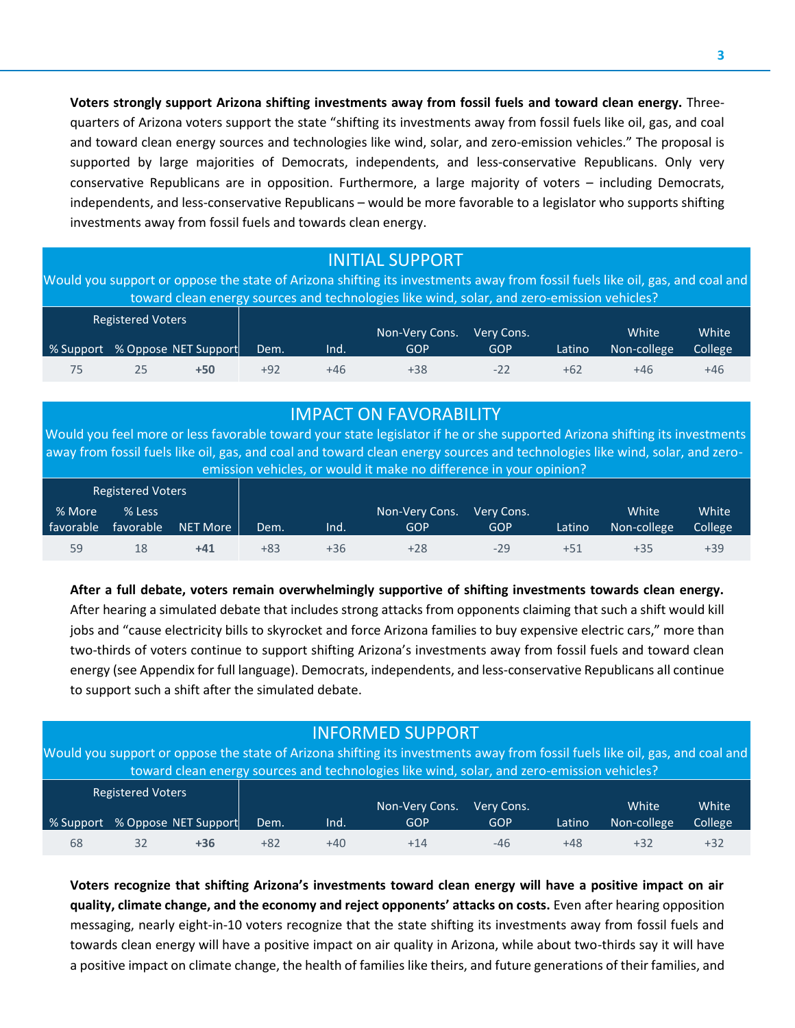**Voters strongly support Arizona shifting investments away from fossil fuels and toward clean energy.** Threequarters of Arizona voters support the state "shifting its investments away from fossil fuels like oil, gas, and coal and toward clean energy sources and technologies like wind, solar, and zero-emission vehicles." The proposal is supported by large majorities of Democrats, independents, and less-conservative Republicans. Only very conservative Republicans are in opposition. Furthermore, a large majority of voters – including Democrats, independents, and less-conservative Republicans – would be more favorable to a legislator who supports shifting investments away from fossil fuels and towards clean energy.

# INITIAL SUPPORT

Would you support or oppose the state of Arizona shifting its investments away from fossil fuels like oil, gas, and coal and toward clean energy sources and technologies like wind, solar, and zero-emission vehicles?

| <b>Registered Voters</b> |                                |       |      | Non-Very Cons. | Very Cons. |        | White       | White   |
|--------------------------|--------------------------------|-------|------|----------------|------------|--------|-------------|---------|
|                          | % Support % Oppose NET Support | Dem.  | lnd. | GOP            | GOP        | Latino | Non-college | College |
| 25                       | +50                            | $+92$ | +46  | $+38$          | $-22$      | $+62$  | +46         | +46     |

## IMPACT ON FAVORABILITY

Would you feel more or less favorable toward your state legislator if he or she supported Arizona shifting its investments away from fossil fuels like oil, gas, and coal and toward clean energy sources and technologies like wind, solar, and zeroemission vehicles, or would it make no difference in your opinion?

|           | <b>Registered Voters</b> |          |       |      |                |            |        |             |         |
|-----------|--------------------------|----------|-------|------|----------------|------------|--------|-------------|---------|
| % More    | % Less                   |          |       |      | Non-Very Cons. | Very Cons. |        | White       | White   |
| favorable | favorable                | NET More | Dem.  | lnd. | GOP            | GOP        | Latino | Non-college | College |
| 59        | 18                       | +41      | $+83$ | +36  | $+28$          | $-29$      | +51    | +35         | $+39$   |

**After a full debate, voters remain overwhelmingly supportive of shifting investments towards clean energy.**  After hearing a simulated debate that includes strong attacks from opponents claiming that such a shift would kill jobs and "cause electricity bills to skyrocket and force Arizona families to buy expensive electric cars," more than two-thirds of voters continue to support shifting Arizona's investments away from fossil fuels and toward clean energy (see Appendix for full language). Democrats, independents, and less-conservative Republicans all continue to support such a shift after the simulated debate.

# INFORMED SUPPORT

Would you support or oppose the state of Arizona shifting its investments away from fossil fuels like oil, gas, and coal and toward clean energy sources and technologies like wind, solar, and zero-emission vehicles?

|    | <b>Registered Voters</b> |                                |       |      | Non-Very Cons. | Very Cons. |        | White       | White          |
|----|--------------------------|--------------------------------|-------|------|----------------|------------|--------|-------------|----------------|
|    |                          | % Support % Oppose NET Support | Dem.  | lnd. | GOP            | <b>GOP</b> | Latino | Non-college | <b>College</b> |
| 68 |                          | +36                            | $+82$ | +40  | +14            | -46        | +48    | +32         | +32            |

**Voters recognize that shifting Arizona's investments toward clean energy will have a positive impact on air quality, climate change, and the economy and reject opponents' attacks on costs.** Even after hearing opposition messaging, nearly eight-in-10 voters recognize that the state shifting its investments away from fossil fuels and towards clean energy will have a positive impact on air quality in Arizona, while about two-thirds say it will have a positive impact on climate change, the health of families like theirs, and future generations of their families, and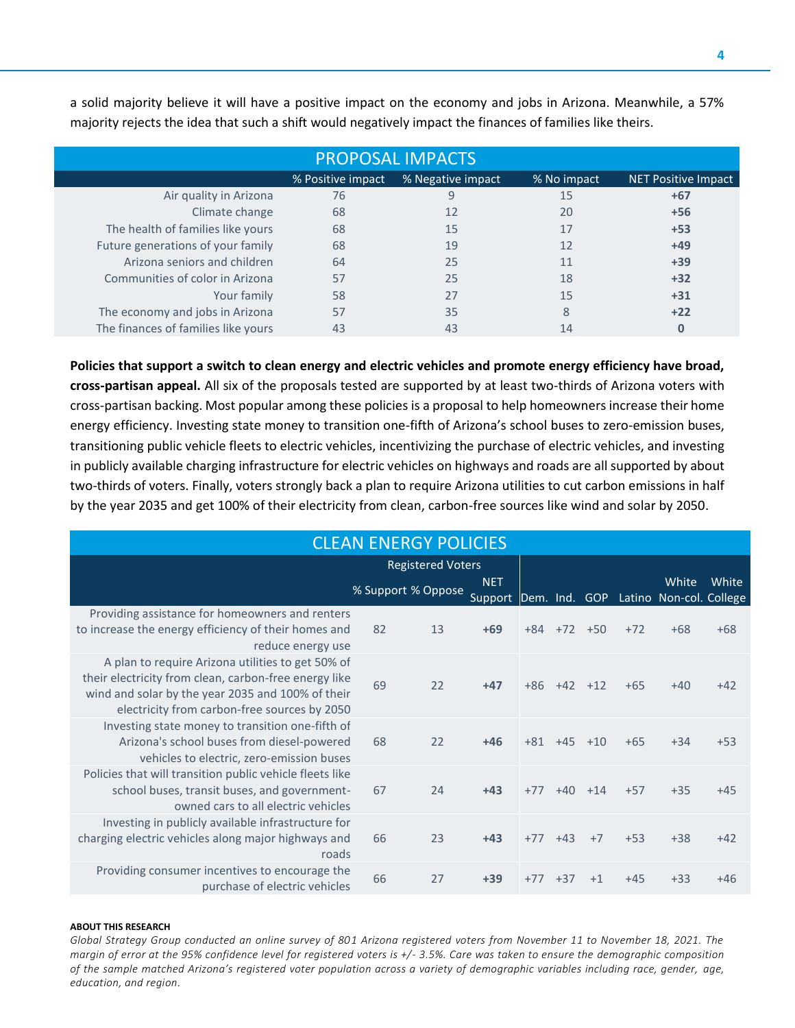| <b>PROPOSAL IMPACTS</b>                                                             |    |    |    |       |  |  |  |  |  |  |  |  |
|-------------------------------------------------------------------------------------|----|----|----|-------|--|--|--|--|--|--|--|--|
| % Negative impact<br>% No impact<br>% Positive impact<br><b>NET Positive Impact</b> |    |    |    |       |  |  |  |  |  |  |  |  |
| Air quality in Arizona                                                              | 76 | 9  | 15 | $+67$ |  |  |  |  |  |  |  |  |
| Climate change                                                                      | 68 | 12 | 20 | $+56$ |  |  |  |  |  |  |  |  |
| The health of families like yours                                                   | 68 | 15 | 17 | $+53$ |  |  |  |  |  |  |  |  |
| Future generations of your family                                                   | 68 | 19 | 12 | $+49$ |  |  |  |  |  |  |  |  |
| Arizona seniors and children                                                        | 64 | 25 | 11 | $+39$ |  |  |  |  |  |  |  |  |
| Communities of color in Arizona                                                     | 57 | 25 | 18 | $+32$ |  |  |  |  |  |  |  |  |
| Your family                                                                         | 58 | 27 | 15 | $+31$ |  |  |  |  |  |  |  |  |
| The economy and jobs in Arizona                                                     | 57 | 35 | 8  | $+22$ |  |  |  |  |  |  |  |  |
| The finances of families like yours                                                 | 43 | 43 | 14 | 0     |  |  |  |  |  |  |  |  |

a solid majority believe it will have a positive impact on the economy and jobs in Arizona. Meanwhile, a 57% majority rejects the idea that such a shift would negatively impact the finances of families like theirs.

**Policies that support a switch to clean energy and electric vehicles and promote energy efficiency have broad, cross-partisan appeal.** All six of the proposals tested are supported by at least two-thirds of Arizona voters with cross-partisan backing. Most popular among these policies is a proposal to help homeowners increase their home energy efficiency. Investing state money to transition one-fifth of Arizona's school buses to zero-emission buses, transitioning public vehicle fleets to electric vehicles, incentivizing the purchase of electric vehicles, and investing in publicly available charging infrastructure for electric vehicles on highways and roads are all supported by about two-thirds of voters. Finally, voters strongly back a plan to require Arizona utilities to cut carbon emissions in half by the year 2035 and get 100% of their electricity from clean, carbon-free sources like wind and solar by 2050.

| <b>CLEAN ENERGY POLICIES</b>                                                                                                                                                                                    |                          |    |                                                             |       |                   |           |       |       |       |  |  |  |
|-----------------------------------------------------------------------------------------------------------------------------------------------------------------------------------------------------------------|--------------------------|----|-------------------------------------------------------------|-------|-------------------|-----------|-------|-------|-------|--|--|--|
|                                                                                                                                                                                                                 | <b>Registered Voters</b> |    |                                                             |       |                   |           |       |       |       |  |  |  |
|                                                                                                                                                                                                                 | % Support % Oppose       |    | <b>NET</b><br>Support Dem. Ind. GOP Latino Non-col. College |       |                   |           |       | White | White |  |  |  |
| Providing assistance for homeowners and renters<br>to increase the energy efficiency of their homes and<br>reduce energy use                                                                                    | 82                       | 13 | $+69$                                                       | $+84$ | $+72$ $+50$       |           | $+72$ | $+68$ | $+68$ |  |  |  |
| A plan to require Arizona utilities to get 50% of<br>their electricity from clean, carbon-free energy like<br>wind and solar by the year 2035 and 100% of their<br>electricity from carbon-free sources by 2050 | 69                       | 22 | $+47$                                                       |       | $+86 + 42 + 12$   |           | $+65$ | $+40$ | $+42$ |  |  |  |
| Investing state money to transition one-fifth of<br>Arizona's school buses from diesel-powered<br>vehicles to electric, zero-emission buses                                                                     | 68                       | 22 | $+46$                                                       |       | $+81$ $+45$ $+10$ |           | $+65$ | $+34$ | $+53$ |  |  |  |
| Policies that will transition public vehicle fleets like<br>school buses, transit buses, and government-<br>owned cars to all electric vehicles                                                                 | 67                       | 74 | $+43$                                                       | $+77$ |                   | $+40 +14$ | $+57$ | $+35$ | $+45$ |  |  |  |
| Investing in publicly available infrastructure for<br>charging electric vehicles along major highways and<br>roads                                                                                              | 66                       | 23 | $+43$                                                       | $+77$ | $+43$             | $+7$      | $+53$ | $+38$ | $+42$ |  |  |  |
| Providing consumer incentives to encourage the<br>purchase of electric vehicles                                                                                                                                 | 66                       | 27 | $+39$                                                       | $+77$ | $+37$             | $+1$      | $+45$ | $+33$ | $+46$ |  |  |  |

#### **ABOUT THIS RESEARCH**

*Global Strategy Group conducted an online survey of 801 Arizona registered voters from November 11 to November 18, 2021. The margin of error at the 95% confidence level for registered voters is +/- 3.5%. Care was taken to ensure the demographic composition of the sample matched Arizona's registered voter population across a variety of demographic variables including race, gender, age, education, and region.*